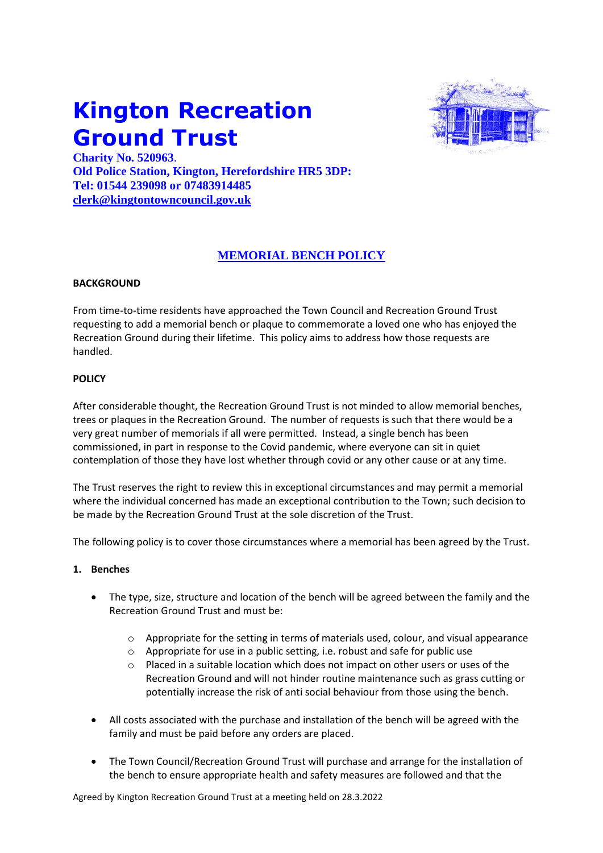# **Kington Recreation Ground Trust**



**Charity No. 520963**. **Old Police Station, Kington, Herefordshire HR5 3DP: Tel: 01544 239098 or 07483914485 [clerk@kingtontowncouncil.gov.uk](mailto:clerk@kingtontowncouncil.gov.uk)**

# **MEMORIAL BENCH POLICY**

## **BACKGROUND**

From time-to-time residents have approached the Town Council and Recreation Ground Trust requesting to add a memorial bench or plaque to commemorate a loved one who has enjoyed the Recreation Ground during their lifetime. This policy aims to address how those requests are handled.

### **POLICY**

After considerable thought, the Recreation Ground Trust is not minded to allow memorial benches, trees or plaques in the Recreation Ground. The number of requests is such that there would be a very great number of memorials if all were permitted. Instead, a single bench has been commissioned, in part in response to the Covid pandemic, where everyone can sit in quiet contemplation of those they have lost whether through covid or any other cause or at any time.

The Trust reserves the right to review this in exceptional circumstances and may permit a memorial where the individual concerned has made an exceptional contribution to the Town; such decision to be made by the Recreation Ground Trust at the sole discretion of the Trust.

The following policy is to cover those circumstances where a memorial has been agreed by the Trust.

#### **1. Benches**

- The type, size, structure and location of the bench will be agreed between the family and the Recreation Ground Trust and must be:
	- $\circ$  Appropriate for the setting in terms of materials used, colour, and visual appearance
	- o Appropriate for use in a public setting, i.e. robust and safe for public use
	- Placed in a suitable location which does not impact on other users or uses of the Recreation Ground and will not hinder routine maintenance such as grass cutting or potentially increase the risk of anti social behaviour from those using the bench.
- All costs associated with the purchase and installation of the bench will be agreed with the family and must be paid before any orders are placed.
- The Town Council/Recreation Ground Trust will purchase and arrange for the installation of the bench to ensure appropriate health and safety measures are followed and that the

Agreed by Kington Recreation Ground Trust at a meeting held on 28.3.2022